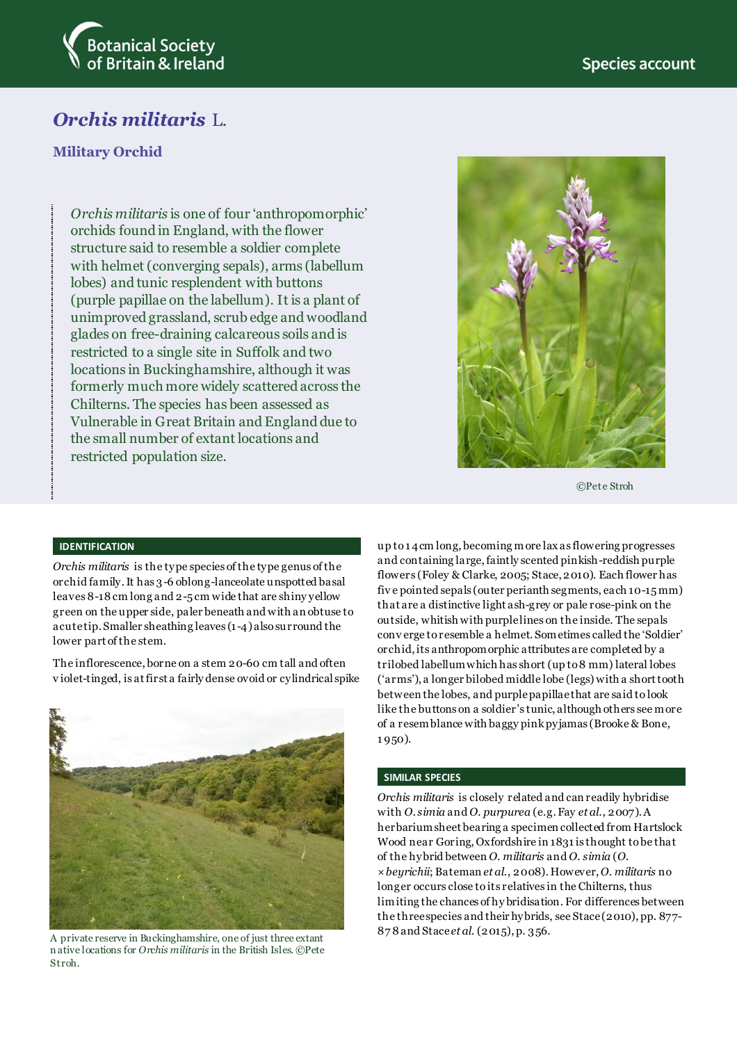

# *Orchis militaris* L.

## **Military Orchid**

*Orchis militaris* is one of four 'anthropomorphic' orchids found in England, with the flower structure said to resemble a soldier complete with helmet (converging sepals), arms (labellum lobes) and tunic resplendent with buttons (purple papillae on the labellum). It is a plant of unimproved grassland, scrub edge and woodland glades on free-draining calcareous soils and is restricted to a single site in Suffolk and two locations in Buckinghamshire, although it was formerly much more widely scattered across the Chilterns. The species has been assessed as Vulnerable in Great Britain and England due to the small number of extant locations and restricted population size.



©Pete Stroh

### **IDENTIFICATION**

*Orchis militaris* is the type species of the type genus of the orchid family. It has 3-6 oblong-lanceolate unspotted basal leaves 8-18 cm long and 2-5 cm wide that are shiny yellow green on the upper side, paler beneath and with an obtuse to acute tip. Smaller sheathing leaves (1-4) also surround the lower part of the stem.

The inflorescence, borne on a stem 20-60 cm tall and often v iolet-tinged, is at first a fairly dense ovoid or cylindrical spike



87 8 and Stace *et al*. (2015), p. 356. A private reserve in Buckinghamshire, one of just three extant n ative locations for *Orchis militaris* in the British Isles. ©Pete Stroh.

up to1 4cm long, becoming more lax as flowering progresses and containing large, faintly scented pinkish-reddish purple flowers (Foley & Clarke, 2005; Stace, 2010). Each flower has fiv e pointed sepals (outer perianth segments, each 10-15 mm) that are a distinctive light ash-grey or pale rose-pink on the outside, whitish with purple lines on the inside. The sepals conv erge to resemble a helmet. Sometimes called the 'Soldier' orchid, its anthropomorphic attributes are completed by a trilobed labellum which has short (up to 8 mm) lateral lobes ('arms'), a longer bilobed middle lobe (legs) with a short tooth between the lobes, and purple papillae that are said to look like the buttons on a soldier's tunic, although others see more of a resemblance with baggy pink pyjamas (Brooke & Bone, 1 950).

### **SIMILAR SPECIES**

*Orchis militaris* is closely related and can readily hybridise with *O. simia* and *O. purpurea* (e.g. Fay *et al*., 2007). A herbarium sheet bearing a specimen collected from Hartslock Wood near Goring, Oxfordshire in 1831 is thought to be that of the hybrid between *O. militaris* and *O. simia* (*O. ×beyrichii*; Bateman *et al*., 2008). However, *O. militaris* no longer occurs close to its relatives in the Chilterns, thus limiting the chances of hy bridisation. For differences between the three species and their hybrids, see Stace (2010), pp. 877-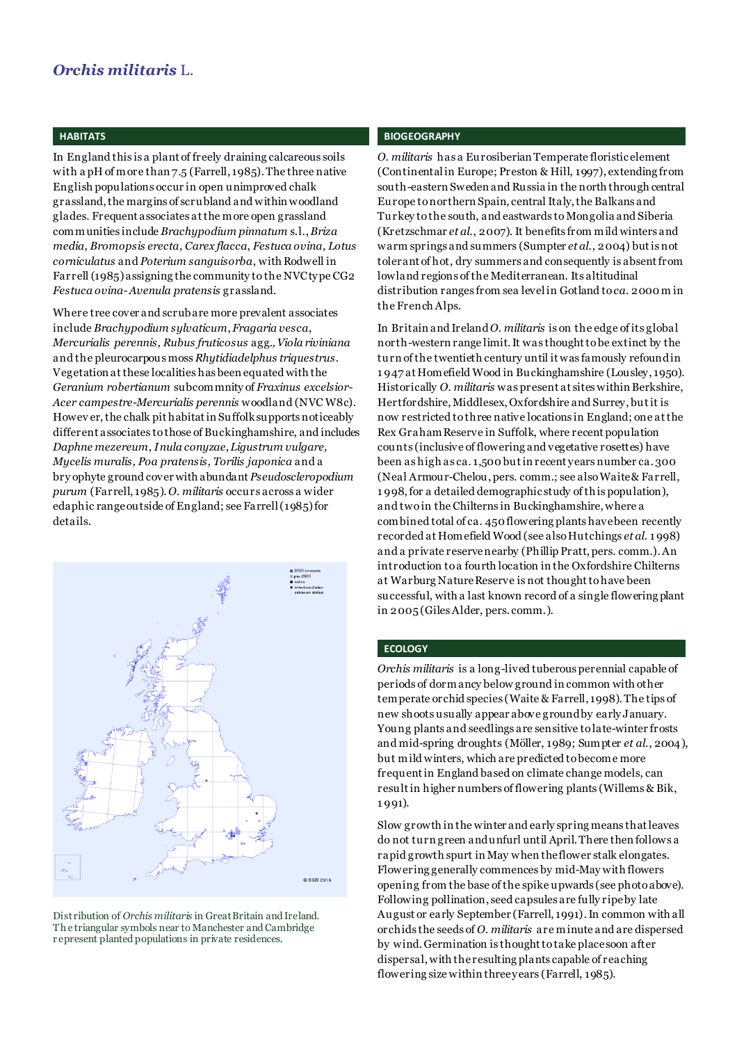### **HABITATS**

In England this is a plant of freely draining calcareous soils with a pH of more than 7.5 (Farrell, 1985). The three native English populations occur in open unimproved chalk grassland, the margins of scrubland and within woodland glades. Frequent associates at the more open grassland communities include *Brachypodium pinnatum* s.l., *Briza media*, *Bromopsis erecta*, *Carex flacca*, *Festuca ovina*, *Lotus corniculatus* and *Poterium sanguisorba*, with Rodwell in Farrell (1985) assigning the community to the NVC type CG2 *Festuca ovina*-*Avenula pratensis* grassland.

Where tree cover and scrub are more prevalent associates include *Brachypodium sylvaticum*, *Fragaria vesca*, *Mercurialis perennis, Rubus fruticosus* agg.*, Viola riviniana* and the pleurocarpous moss *Rhytidiadelphus triquestrus*. Vegetation at these localities has been equated with the *Geranium robertianum* subcommnity of *Fraxinus excelsior-Acer campestre-Mercurialis perennis* woodland (NVC W8c). Howev er, the chalk pit habitat in Suffolk supports noticeably different associates to those of Buckinghamshire, and includes *Daphne mezereum*, *Inula conyzae*, *Ligustrum vulgare, Mycelis muralis, Poa pratensis, Torilis japonica* and a bry ophyte ground cover with abundant *Pseudoscleropodium purum* (Farrell, 1985). *O. militaris* occurs across a wider edaphic range outside of England; see Farrell (1985) for details.



Distribution of *Orchis militaris* in Great Britain and Ireland. Th e triangular symbols near to Manchester and Cambridge r epresent planted populations in private residences.

### **BIOGEOGRAPHY**

*O. militaris* has a Eurosiberian Temperate floristic element (Continental in Europe; Preston & Hill, 1997), extending from south-eastern Sweden and Russia in the north through central Europe to northern Spain, central Italy, the Balkans and Turkey to the south, and eastwards to Mongolia and Siberia (Kretzschmar *et al*., 2007). It benefits from mild winters and warm springs and summers (Sumpter *et al*., 2004) but is not tolerant of hot, dry summers and consequently is absent from lowland regions of the Mediterranean. Its altitudinal distribution ranges from sea level in Gotland to *ca*. 2000 m in the French Alps.

In Britain and Ireland *O. militaris* is on the edge of its global north-western range limit. It was thought to be extinct by the turn of the twentieth century until it was famously refoundin 1 947 at Homefield Wood in Buckinghamshire (Lousley, 1950). Historically *O. militaris* was present at sites within Berkshire, Hertfordshire, Middlesex, Oxfordshire and Surrey, but it is now restricted to three native locations in England; one at the Rex Graham Reserve in Suffolk, where recent population counts (inclusive of flowering and vegetative rosettes) have been as high as ca. 1,500 but in recent years number ca. 300 (Neal Armour-Chelou, pers. comm.; see also Waite & Farrell, 1 998,for a detailed demographic study of this population), and two in the Chilterns in Buckinghamshire, where a combined total of ca. 450 flowering plants have been recently recorded at Homefield Wood (see also Hutchings *et al*. 1 998) and a private reserve nearby (Phillip Pratt, pers. comm.). An introduction to a fourth location in the Oxfordshire Chilterns at Warburg Nature Reserve is not thought to have been successful, with a last known record of a single flowering plant in 2005 (GilesAlder, pers. comm.).

#### **ECOLOGY**

*Orchis militaris* is a long-lived tuberous perennial capable of periods of dormancy below ground in common with other temperate orchid species (Waite & Farrell, 1998). The tips of new shoots usually appear above ground by early January. Young plants and seedlings are sensitive to late-winter frosts and mid-spring droughts (Möller, 1989; Sumpter *et al*., 2004), but mild winters, which are predicted to become more frequent in England based on climate change models, can result in higher numbers of flowering plants (Willems & Bik, 1 991).

Slow growth in the winter and early spring means that leaves do not turn green and unfurl until April. There then follows a rapid growth spurt in May when the flower stalk elongates. Flowering generally commences by mid-May with flowers opening from the base of the spike upwards (see photo above). Following pollination, seed capsules are fully ripe by late August or early September (Farrell, 1991). In common with all orchids the seeds of *O. militaris* are minute and are dispersed by wind. Germination is thought to take place soon after dispersal, with the resulting plants capable of reaching flowering size within three years (Farrell, 1985).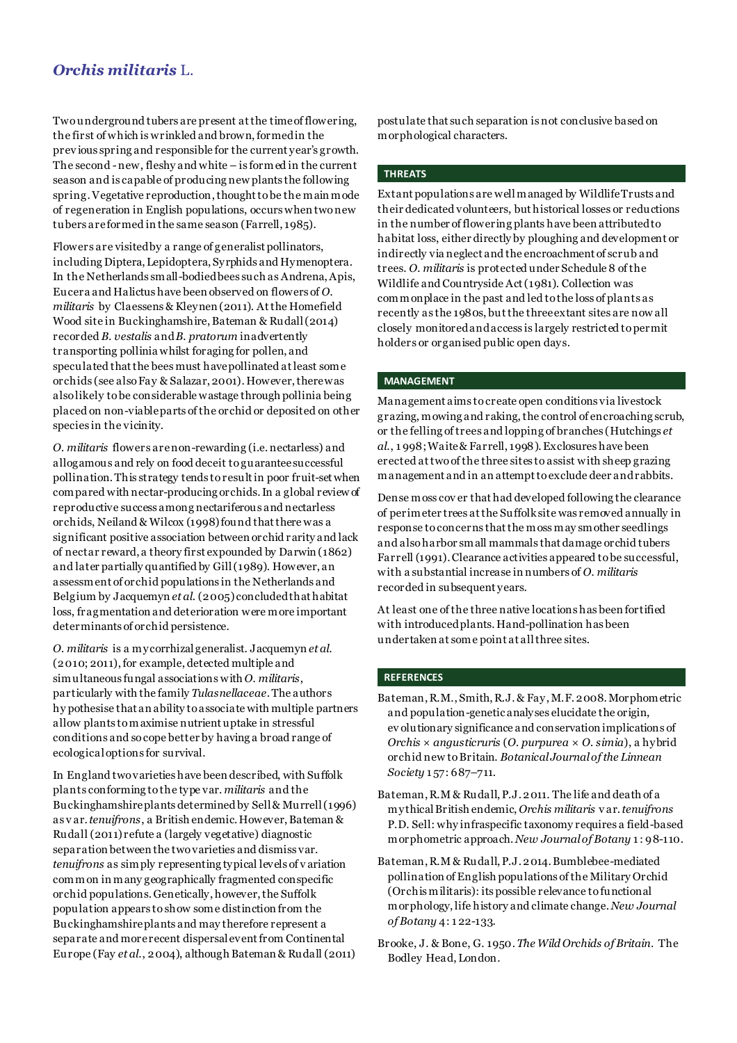# *Orchis militaris* L.

Two underground tubers are present at the time of flowering, the first of which is wrinkled and brown, formed in the prev ious spring and responsible for the current year's growth. The second -new, fleshy and white – is formed in the current season and is capable of producing new plants the following spring. Vegetative reproduction, thought to be the main mode of regeneration in English populations, occurs when two new tubers are formed in the same season (Farrell, 1985).

Flowers are visited by a range of generalist pollinators, including Diptera, Lepidoptera, Syrphids and Hymenoptera. In the Netherlands small-bodied bees such as Andrena, Apis, Eucera and Halictus have been observed on flowers of *O. militaris* by Claessens & Kleynen (2011). At the Homefield Wood site in Buckinghamshire, Bateman & Rudall (2014) recorded *B. vestalis* and *B. pratorum* inadvertently transporting pollinia whilst foraging for pollen, and speculated that the bees must have pollinated at least some orchids (see also Fay & Salazar, 2001). However, there was also likely to be considerable wastage through pollinia being placed on non-viable parts of the orchid or deposited on other species in the vicinity.

*O. militaris* flowers are non-rewarding (i.e. nectarless) and allogamous and rely on food deceit to guarantee successful pollination. This strategy tends to result in poor fruit-set when compared with nectar-producing orchids. In a global review of reproductive success among nectariferous and nectarless orchids, Neiland & Wilcox (1998) found that there was a significant positive association between orchid r arity and lack of nectar reward, a theory first expounded by Darwin (1862) and later partially quantified by Gill (1989). However, an assessment of orchid populations in the Netherlands and Belgium by Jacquemyn *et al*. (2005) concluded that habitat loss, fragmentation and deterioration were more important determinants of orchid persistence.

*O. militaris* is a mycorrhizal generalist. Jacquemyn *et al*. (2010; 2011), for example, detected multiple and simultaneous fungal associations with *O. militaris*, particularly with the family *Tulasnellaceae*. The authors hy pothesise that an ability to associate with multiple partners allow plants to maximise nutrient uptake in stressful conditions and so cope better by having a broad range of ecological options for survival.

In England two varieties have been described, with Suffolk plants conforming to the type var. *militaris* and the Buckinghamshire plants determined by Sell & Murrell (1996) as v ar. *tenuifrons*, a British endemic. However, Bateman & Rudall (2011) refute a (largely vegetative) diagnostic separation between the two varieties and dismiss var. *tenuifrons* as simply representing typical levels of v ariation common in many geographically fragmented conspecific orchid populations. Genetically, however, the Suffolk population appears to show some distinction from the Buckinghamshire plants and may therefore represent a separate and more recent dispersal event from Continental Europe (Fay *et al*., 2004), although Bateman & Rudall (2011) postulate that such separation is not conclusive based on morphological characters.

### **THREATS**

Extant populations are well managed by Wildlife Trusts and their dedicated volunteers, but historical losses or reductions in the number of flowering plants have been attributed to habitat loss, either directly by ploughing and development or indirectly via neglect and the encroachment of scrub and trees. *O. militaris* is protected under Schedule 8 of the Wildlife and Countryside Act (1981). Collection was commonplace in the past and led to the loss of plants as recently as the 1980s, but the three extant sites are now all closely monitored and access is largely restricted to permit holders or organised public open days.

#### **MANAGEMENT**

Management aims to create open conditions via livestock grazing, mowing and raking, the control of encroaching scrub, or the felling of trees and lopping of branches (Hutchings *et al*., 1 998; Waite & Farrell, 1998). Exclosures have been erected at two of the three sites to assist with sheep grazing management and in an attempt to exclude deer and rabbits.

Dense moss cov er that had developed following the clearance of perimeter trees at the Suffolk site was removed annually in response to concerns that the moss may smother seedlings and also harbor small mammals that damage orchid tubers Farrell (1991).Clearance activities appeared to be successful, with a substantial increase in numbers of *O. militaris* recorded in subsequent years.

At least one of the three native locations has been fortified with introduced plants. Hand-pollination has been undertaken at some point at all three sites.

#### **REFERENCES**

- Bateman, R.M., Smith, R.J. & Fay, M.F. 2008. Morphometric and population-genetic analyses elucidate the origin, ev olutionary significance and conservation implications of *Orchis × angusticruris* (*O. purpurea* × *O. simia*), a hybrid orchid new toBritain. *Botanical Journal of the Linnean Society* 1 57: 687–711.
- Bateman, R.M & Rudall, P.J. 2011. The life and death of a mythical British endemic, *Orchis militaris* v ar. *tenuifrons*  P.D. Sell: why infraspecific taxonomy requires a field-based morphometric approach. *New Journal of Botany* 1 : 98-110.
- Bateman, R.M & Rudall, P.J. 2014. Bumblebee-mediated pollination of English populations of the Military Orchid (Orchis militaris): its possible relevance to functional morphology, life history and climate change. *New Journal of Botany* 4: 1 22-133.
- Brooke, J. & Bone, G. 1950. *The Wild Orchids of Britain*. The Bodley Head, London.